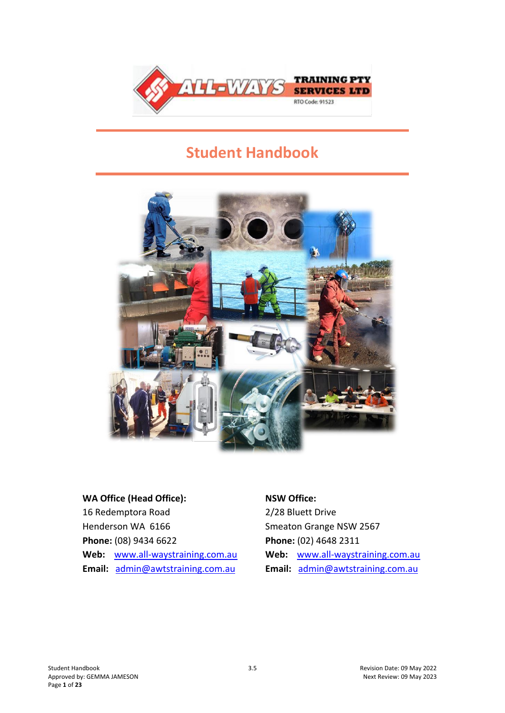

# **Student Handbook**



# **WA Office (Head Office):**

16 Redemptora Road Henderson WA 6166 **Phone:** (08) 9434 6622 **Web:** [www.all-waystraining.com.au](http://www.allwaystraining.com.au/) **Email:** [admin@awtstraining.com.au](mailto:admin@awtstraining.com.au)

#### **NSW Office:**

2/28 Bluett Drive Smeaton Grange NSW 2567 **Phone:** (02) 4648 2311 **Web:** [www.all-waystraining.com.au](http://www.allwaystraining.com.au/) **Email:** [admin@awtstraining.com.au](mailto:admin@awtstraining.com.au)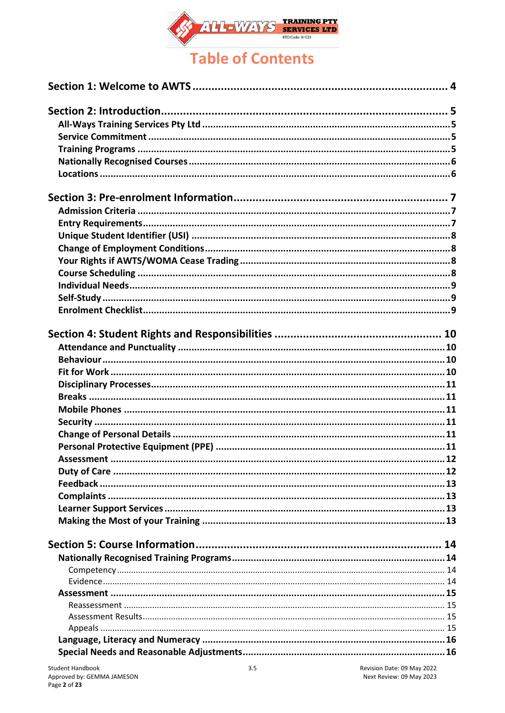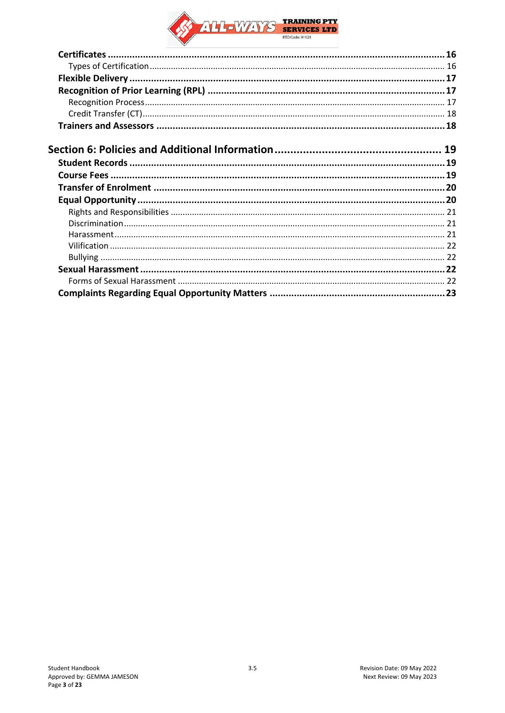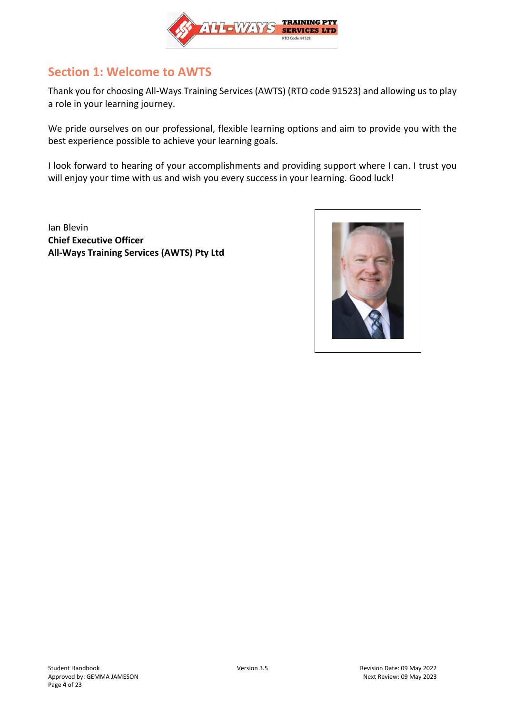

## <span id="page-3-0"></span>**Section 1: Welcome to AWTS**

Thank you for choosing All-Ways Training Services (AWTS) (RTO code 91523) and allowing us to play a role in your learning journey.

We pride ourselves on our professional, flexible learning options and aim to provide you with the best experience possible to achieve your learning goals.

I look forward to hearing of your accomplishments and providing support where I can. I trust you will enjoy your time with us and wish you every success in your learning. Good luck!

Ian Blevin **Chief Executive Officer All-Ways Training Services (AWTS) Pty Ltd**

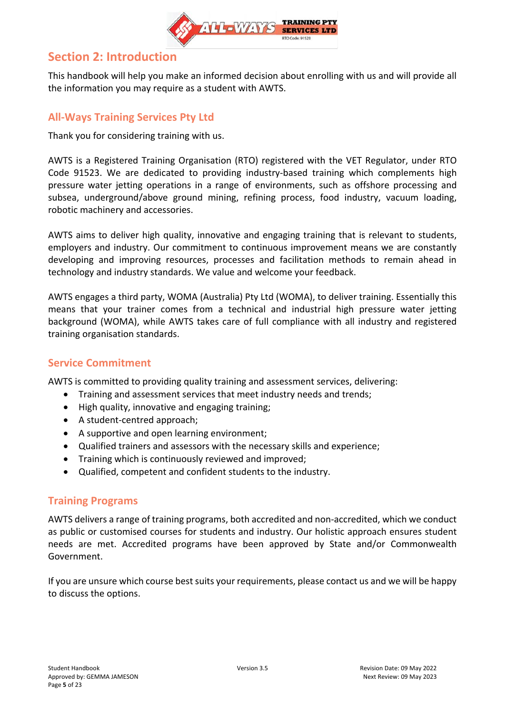

## <span id="page-4-0"></span>**Section 2: Introduction**

This handbook will help you make an informed decision about enrolling with us and will provide all the information you may require as a student with AWTS.

## <span id="page-4-1"></span>**All-Ways Training Services Pty Ltd**

Thank you for considering training with us.

AWTS is a Registered Training Organisation (RTO) registered with the VET Regulator, under RTO Code 91523. We are dedicated to providing industry-based training which complements high pressure water jetting operations in a range of environments, such as offshore processing and subsea, underground/above ground mining, refining process, food industry, vacuum loading, robotic machinery and accessories.

AWTS aims to deliver high quality, innovative and engaging training that is relevant to students, employers and industry. Our commitment to continuous improvement means we are constantly developing and improving resources, processes and facilitation methods to remain ahead in technology and industry standards. We value and welcome your feedback.

AWTS engages a third party, WOMA (Australia) Pty Ltd (WOMA), to deliver training. Essentially this means that your trainer comes from a technical and industrial high pressure water jetting background (WOMA), while AWTS takes care of full compliance with all industry and registered training organisation standards.

### <span id="page-4-2"></span>**Service Commitment**

AWTS is committed to providing quality training and assessment services, delivering:

- Training and assessment services that meet industry needs and trends;
- High quality, innovative and engaging training;
- A student-centred approach;
- A supportive and open learning environment;
- Qualified trainers and assessors with the necessary skills and experience;
- Training which is continuously reviewed and improved;
- Qualified, competent and confident students to the industry.

### <span id="page-4-3"></span>**Training Programs**

AWTS delivers a range of training programs, both accredited and non-accredited, which we conduct as public or customised courses for students and industry. Our holistic approach ensures student needs are met. Accredited programs have been approved by State and/or Commonwealth Government.

If you are unsure which course best suits your requirements, please contact us and we will be happy to discuss the options.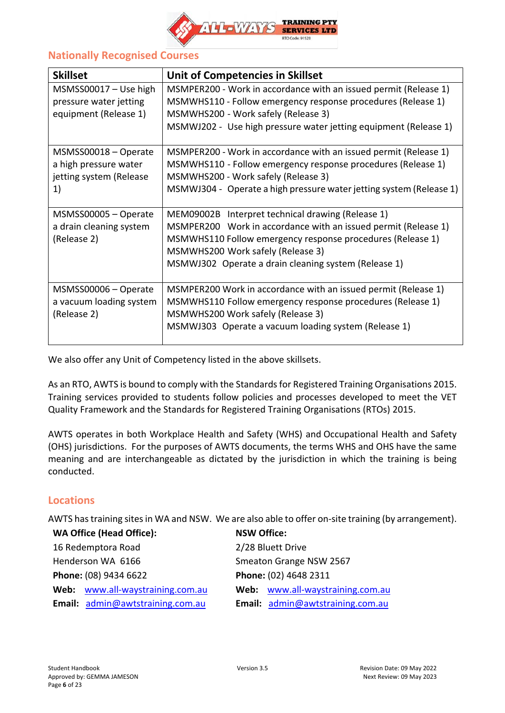

## <span id="page-5-0"></span>**Nationally Recognised Courses**

| <b>Skillset</b>                                                                | Unit of Competencies in Skillset                                                                                                                                                                                                                                               |
|--------------------------------------------------------------------------------|--------------------------------------------------------------------------------------------------------------------------------------------------------------------------------------------------------------------------------------------------------------------------------|
| $MSMSS00017 - Use high$<br>pressure water jetting<br>equipment (Release 1)     | MSMPER200 - Work in accordance with an issued permit (Release 1)<br>MSMWHS110 - Follow emergency response procedures (Release 1)<br>MSMWHS200 - Work safely (Release 3)<br>MSMWJ202 - Use high pressure water jetting equipment (Release 1)                                    |
| MSMSS00018 - Operate<br>a high pressure water<br>jetting system (Release<br>1) | MSMPER200 - Work in accordance with an issued permit (Release 1)<br>MSMWHS110 - Follow emergency response procedures (Release 1)<br>MSMWHS200 - Work safely (Release 3)<br>MSMWJ304 - Operate a high pressure water jetting system (Release 1)                                 |
| MSMSS00005 - Operate<br>a drain cleaning system<br>(Release 2)                 | MEM09002B Interpret technical drawing (Release 1)<br>MSMPER200 Work in accordance with an issued permit (Release 1)<br>MSMWHS110 Follow emergency response procedures (Release 1)<br>MSMWHS200 Work safely (Release 3)<br>MSMWJ302 Operate a drain cleaning system (Release 1) |
| MSMSS00006 - Operate<br>a vacuum loading system<br>(Release 2)                 | MSMPER200 Work in accordance with an issued permit (Release 1)<br>MSMWHS110 Follow emergency response procedures (Release 1)<br>MSMWHS200 Work safely (Release 3)<br>MSMWJ303 Operate a vacuum loading system (Release 1)                                                      |

We also offer any Unit of Competency listed in the above skillsets.

As an RTO, AWTS is bound to comply with the Standards for Registered Training Organisations 2015. Training services provided to students follow policies and processes developed to meet the VET Quality Framework and the Standards for Registered Training Organisations (RTOs) 2015.

AWTS operates in both Workplace Health and Safety (WHS) and Occupational Health and Safety (OHS) jurisdictions. For the purposes of AWTS documents, the terms WHS and OHS have the same meaning and are interchangeable as dictated by the jurisdiction in which the training is being conducted.

### <span id="page-5-1"></span>**Locations**

AWTS has training sites in WA and NSW. We are also able to offer on-site training (by arrangement).

| <b>WA Office (Head Office):</b>  | <b>NSW Office:</b>               |
|----------------------------------|----------------------------------|
| 16 Redemptora Road               | 2/28 Bluett Drive                |
| Henderson WA 6166                | Smeaton Grange NSW 2567          |
| Phone: (08) 9434 6622            | Phone: (02) 4648 2311            |
| Web: www.all-waystraining.com.au | Web: www.all-waystraining.com.au |
| Email: admin@awtstraining.com.au | Email: admin@awtstraining.com.au |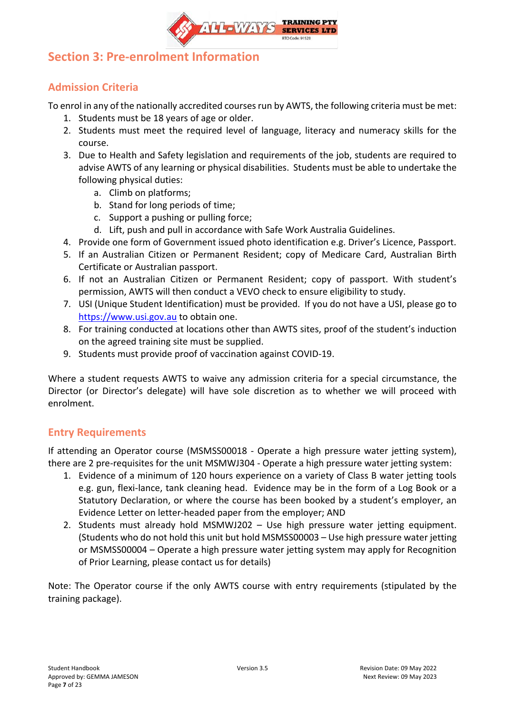

## <span id="page-6-0"></span>**Section 3: Pre-enrolment Information**

## <span id="page-6-1"></span>**Admission Criteria**

To enrol in any of the nationally accredited courses run by AWTS, the following criteria must be met:

- 1. Students must be 18 years of age or older.
- 2. Students must meet the required level of language, literacy and numeracy skills for the course.
- 3. Due to Health and Safety legislation and requirements of the job, students are required to advise AWTS of any learning or physical disabilities. Students must be able to undertake the following physical duties:
	- a. Climb on platforms;
	- b. Stand for long periods of time;
	- c. Support a pushing or pulling force;
	- d. Lift, push and pull in accordance with Safe Work Australia Guidelines.
- 4. Provide one form of Government issued photo identification e.g. Driver's Licence, Passport.
- 5. If an Australian Citizen or Permanent Resident; copy of Medicare Card, Australian Birth Certificate or Australian passport.
- 6. If not an Australian Citizen or Permanent Resident; copy of passport. With student's permission, AWTS will then conduct a VEVO check to ensure eligibility to study.
- 7. USI (Unique Student Identification) must be provided. If you do not have a USI, please go to [https://www.usi.gov.au](https://www.usi.gov.au/) to obtain one.
- 8. For training conducted at locations other than AWTS sites, proof of the student's induction on the agreed training site must be supplied.
- 9. Students must provide proof of vaccination against COVID-19.

Where a student requests AWTS to waive any admission criteria for a special circumstance, the Director (or Director's delegate) will have sole discretion as to whether we will proceed with enrolment.

## <span id="page-6-2"></span>**Entry Requirements**

If attending an Operator course (MSMSS00018 - Operate a high pressure water jetting system), there are 2 pre-requisites for the unit MSMWJ304 - Operate a high pressure water jetting system:

- 1. Evidence of a minimum of 120 hours experience on a variety of Class B water jetting tools e.g. gun, flexi-lance, tank cleaning head. Evidence may be in the form of a Log Book or a Statutory Declaration, or where the course has been booked by a student's employer, an Evidence Letter on letter-headed paper from the employer; AND
- 2. Students must already hold MSMWJ202 Use high pressure water jetting equipment. (Students who do not hold this unit but hold MSMSS00003 – Use high pressure water jetting or MSMSS00004 – Operate a high pressure water jetting system may apply for Recognition of Prior Learning, please contact us for details)

Note: The Operator course if the only AWTS course with entry requirements (stipulated by the training package).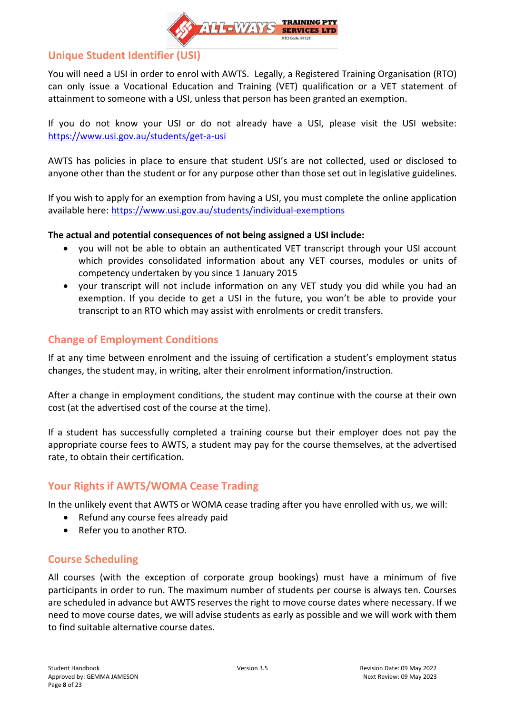

## <span id="page-7-0"></span>**Unique Student Identifier (USI)**

You will need a USI in order to enrol with AWTS. Legally, a Registered Training Organisation (RTO) can only issue a Vocational Education and Training (VET) qualification or a VET statement of attainment to someone with a USI, unless that person has been granted an exemption.

If you do not know your USI or do not already have a USI, please visit the USI website: <https://www.usi.gov.au/students/get-a-usi>

AWTS has policies in place to ensure that student USI's are not collected, used or disclosed to anyone other than the student or for any purpose other than those set out in legislative guidelines.

If you wish to apply for an exemption from having a USI, you must complete the online application available here:<https://www.usi.gov.au/students/individual-exemptions>

### **The actual and potential consequences of not being assigned a USI include:**

- you will not be able to obtain an authenticated VET transcript through your USI account which provides consolidated information about any VET courses, modules or units of competency undertaken by you since 1 January 2015
- your transcript will not include information on any VET study you did while you had an exemption. If you decide to get a USI in the future, you won't be able to provide your transcript to an RTO which may assist with enrolments or credit transfers.

## <span id="page-7-1"></span>**Change of Employment Conditions**

If at any time between enrolment and the issuing of certification a student's employment status changes, the student may, in writing, alter their enrolment information/instruction.

After a change in employment conditions, the student may continue with the course at their own cost (at the advertised cost of the course at the time).

If a student has successfully completed a training course but their employer does not pay the appropriate course fees to AWTS, a student may pay for the course themselves, at the advertised rate, to obtain their certification.

### <span id="page-7-2"></span>**Your Rights if AWTS/WOMA Cease Trading**

In the unlikely event that AWTS or WOMA cease trading after you have enrolled with us, we will:

- Refund any course fees already paid
- Refer you to another RTO.

### <span id="page-7-3"></span>**Course Scheduling**

All courses (with the exception of corporate group bookings) must have a minimum of five participants in order to run. The maximum number of students per course is always ten. Courses are scheduled in advance but AWTS reserves the right to move course dates where necessary. If we need to move course dates, we will advise students as early as possible and we will work with them to find suitable alternative course dates.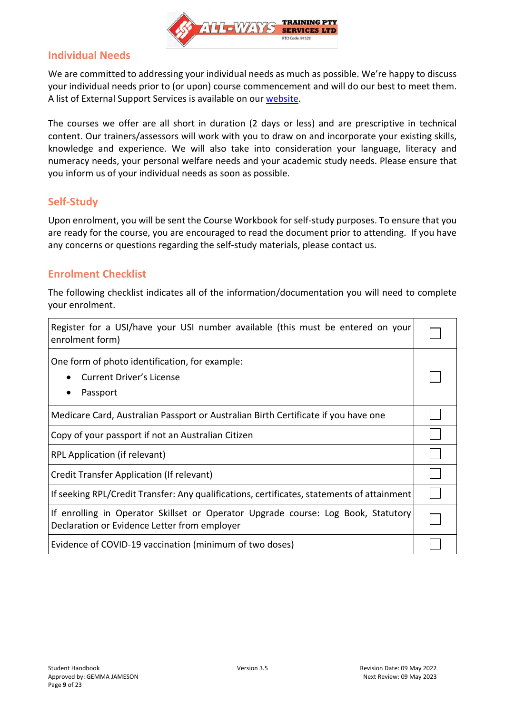

### <span id="page-8-0"></span>**Individual Needs**

We are committed to addressing your individual needs as much as possible. We're happy to discuss your individual needs prior to (or upon) course commencement and will do our best to meet them. A list of External Support Services is available on our [website.](https://www.all-waystraining.com.au/student-info/)

The courses we offer are all short in duration (2 days or less) and are prescriptive in technical content. Our trainers/assessors will work with you to draw on and incorporate your existing skills, knowledge and experience. We will also take into consideration your language, literacy and numeracy needs, your personal welfare needs and your academic study needs. Please ensure that you inform us of your individual needs as soon as possible.

### <span id="page-8-1"></span>**Self-Study**

Upon enrolment, you will be sent the Course Workbook for self-study purposes. To ensure that you are ready for the course, you are encouraged to read the document prior to attending. If you have any concerns or questions regarding the self-study materials, please contact us.

### <span id="page-8-2"></span>**Enrolment Checklist**

The following checklist indicates all of the information/documentation you will need to complete your enrolment.

| Register for a USI/have your USI number available (this must be entered on your<br>enrolment form)                                |  |
|-----------------------------------------------------------------------------------------------------------------------------------|--|
| One form of photo identification, for example:<br>Current Driver's License<br>Passport                                            |  |
| Medicare Card, Australian Passport or Australian Birth Certificate if you have one                                                |  |
| Copy of your passport if not an Australian Citizen                                                                                |  |
| RPL Application (if relevant)                                                                                                     |  |
| Credit Transfer Application (If relevant)                                                                                         |  |
| If seeking RPL/Credit Transfer: Any qualifications, certificates, statements of attainment                                        |  |
| If enrolling in Operator Skillset or Operator Upgrade course: Log Book, Statutory<br>Declaration or Evidence Letter from employer |  |
| Evidence of COVID-19 vaccination (minimum of two doses)                                                                           |  |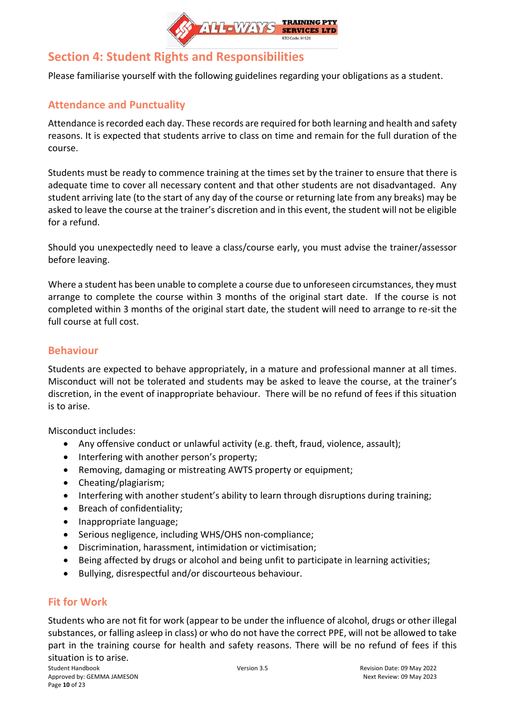

## <span id="page-9-0"></span>**Section 4: Student Rights and Responsibilities**

<span id="page-9-1"></span>Please familiarise yourself with the following guidelines regarding your obligations as a student.

## **Attendance and Punctuality**

Attendance is recorded each day. These records are required for both learning and health and safety reasons. It is expected that students arrive to class on time and remain for the full duration of the course.

Students must be ready to commence training at the times set by the trainer to ensure that there is adequate time to cover all necessary content and that other students are not disadvantaged. Any student arriving late (to the start of any day of the course or returning late from any breaks) may be asked to leave the course at the trainer's discretion and in this event, the student will not be eligible for a refund.

Should you unexpectedly need to leave a class/course early, you must advise the trainer/assessor before leaving.

Where a student has been unable to complete a course due to unforeseen circumstances, they must arrange to complete the course within 3 months of the original start date. If the course is not completed within 3 months of the original start date, the student will need to arrange to re-sit the full course at full cost.

### <span id="page-9-2"></span>**Behaviour**

Students are expected to behave appropriately, in a mature and professional manner at all times. Misconduct will not be tolerated and students may be asked to leave the course, at the trainer's discretion, in the event of inappropriate behaviour. There will be no refund of fees if this situation is to arise.

Misconduct includes:

- Any offensive conduct or unlawful activity (e.g. theft, fraud, violence, assault);
- Interfering with another person's property;
- Removing, damaging or mistreating AWTS property or equipment;
- Cheating/plagiarism;
- Interfering with another student's ability to learn through disruptions during training;
- Breach of confidentiality;
- Inappropriate language;
- Serious negligence, including WHS/OHS non-compliance;
- Discrimination, harassment, intimidation or victimisation;
- Being affected by drugs or alcohol and being unfit to participate in learning activities;
- Bullying, disrespectful and/or discourteous behaviour.

### <span id="page-9-3"></span>**Fit for Work**

Students who are not fit for work (appear to be under the influence of alcohol, drugs or other illegal substances, or falling asleep in class) or who do not have the correct PPE, will not be allowed to take part in the training course for health and safety reasons. There will be no refund of fees if this situation is to arise.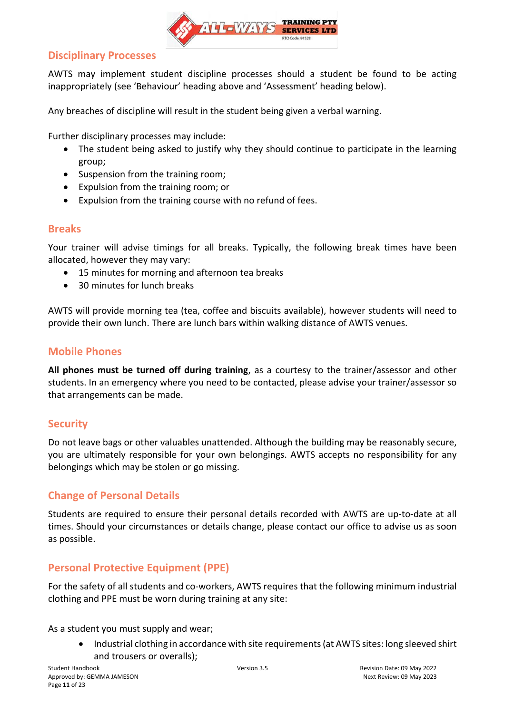

### <span id="page-10-0"></span>**Disciplinary Processes**

AWTS may implement student discipline processes should a student be found to be acting inappropriately (see 'Behaviour' heading above and 'Assessment' heading below).

Any breaches of discipline will result in the student being given a verbal warning.

Further disciplinary processes may include:

- The student being asked to justify why they should continue to participate in the learning group;
- Suspension from the training room;
- Expulsion from the training room; or
- Expulsion from the training course with no refund of fees.

### <span id="page-10-1"></span>**Breaks**

Your trainer will advise timings for all breaks. Typically, the following break times have been allocated, however they may vary:

- 15 minutes for morning and afternoon tea breaks
- 30 minutes for lunch breaks

AWTS will provide morning tea (tea, coffee and biscuits available), however students will need to provide their own lunch. There are lunch bars within walking distance of AWTS venues.

### <span id="page-10-2"></span>**Mobile Phones**

**All phones must be turned off during training**, as a courtesy to the trainer/assessor and other students. In an emergency where you need to be contacted, please advise your trainer/assessor so that arrangements can be made.

### <span id="page-10-3"></span>**Security**

Do not leave bags or other valuables unattended. Although the building may be reasonably secure, you are ultimately responsible for your own belongings. AWTS accepts no responsibility for any belongings which may be stolen or go missing.

### <span id="page-10-4"></span>**Change of Personal Details**

Students are required to ensure their personal details recorded with AWTS are up-to-date at all times. Should your circumstances or details change, please contact our office to advise us as soon as possible.

### <span id="page-10-5"></span>**Personal Protective Equipment (PPE)**

For the safety of all students and co-workers, AWTS requires that the following minimum industrial clothing and PPE must be worn during training at any site:

As a student you must supply and wear;

• Industrial clothing in accordance with site requirements (at AWTS sites: long sleeved shirt and trousers or overalls);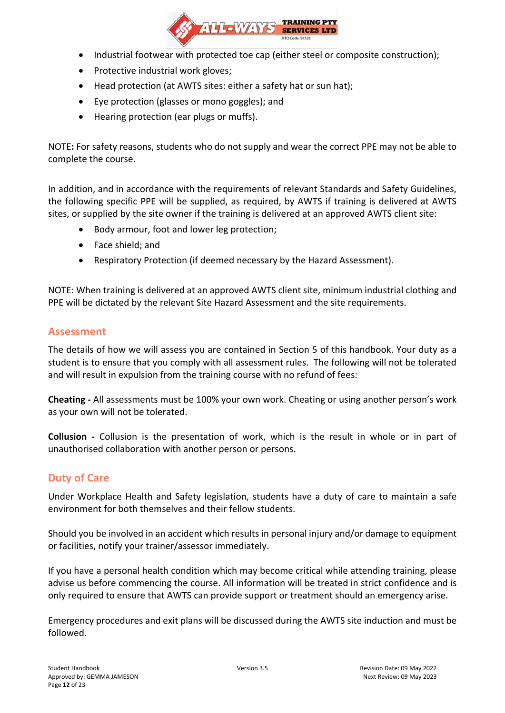

- Industrial footwear with protected toe cap (either steel or composite construction);
- Protective industrial work gloves;
- Head protection (at AWTS sites: either a safety hat or sun hat);
- Eye protection (glasses or mono goggles); and
- Hearing protection (ear plugs or muffs).

NOTE**:** For safety reasons, students who do not supply and wear the correct PPE may not be able to complete the course.

In addition, and in accordance with the requirements of relevant Standards and Safety Guidelines, the following specific PPE will be supplied, as required, by AWTS if training is delivered at AWTS sites, or supplied by the site owner if the training is delivered at an approved AWTS client site:

- Body armour, foot and lower leg protection;
- Face shield; and
- Respiratory Protection (if deemed necessary by the Hazard Assessment).

NOTE: When training is delivered at an approved AWTS client site, minimum industrial clothing and PPE will be dictated by the relevant Site Hazard Assessment and the site requirements.

### <span id="page-11-0"></span>**Assessment**

The details of how we will assess you are contained in Section 5 of this handbook. Your duty as a student is to ensure that you comply with all assessment rules. The following will not be tolerated and will result in expulsion from the training course with no refund of fees:

**Cheating -** All assessments must be 100% your own work. Cheating or using another person's work as your own will not be tolerated.

**Collusion -** Collusion is the presentation of work, which is the result in whole or in part of unauthorised collaboration with another person or persons.

### <span id="page-11-1"></span>**Duty of Care**

Under Workplace Health and Safety legislation, students have a duty of care to maintain a safe environment for both themselves and their fellow students.

Should you be involved in an accident which results in personal injury and/or damage to equipment or facilities, notify your trainer/assessor immediately.

If you have a personal health condition which may become critical while attending training, please advise us before commencing the course. All information will be treated in strict confidence and is only required to ensure that AWTS can provide support or treatment should an emergency arise.

Emergency procedures and exit plans will be discussed during the AWTS site induction and must be followed.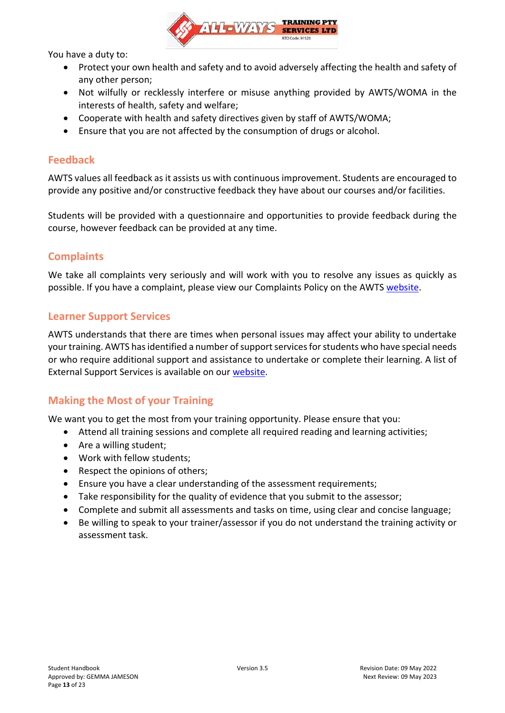

You have a duty to:

- Protect your own health and safety and to avoid adversely affecting the health and safety of any other person;
- Not wilfully or recklessly interfere or misuse anything provided by AWTS/WOMA in the interests of health, safety and welfare;
- Cooperate with health and safety directives given by staff of AWTS/WOMA;
- Ensure that you are not affected by the consumption of drugs or alcohol.

### <span id="page-12-0"></span>**Feedback**

AWTS values all feedback as it assists us with continuous improvement. Students are encouraged to provide any positive and/or constructive feedback they have about our courses and/or facilities.

Students will be provided with a questionnaire and opportunities to provide feedback during the course, however feedback can be provided at any time.

### <span id="page-12-1"></span>**Complaints**

We take all complaints very seriously and will work with you to resolve any issues as quickly as possible. If you have a complaint, please view our Complaints Policy on the AWTS [website.](https://www.all-waystraining.com.au/student-info/)

### <span id="page-12-2"></span>**Learner Support Services**

AWTS understands that there are times when personal issues may affect your ability to undertake your training. AWTS has identified a number of support services for students who have special needs or who require additional support and assistance to undertake or complete their learning. A list of External Support Services is available on our [website.](https://www.all-waystraining.com.au/student-info/)

### <span id="page-12-3"></span>**Making the Most of your Training**

We want you to get the most from your training opportunity. Please ensure that you:

- Attend all training sessions and complete all required reading and learning activities;
- Are a willing student;
- Work with fellow students;
- Respect the opinions of others;
- Ensure you have a clear understanding of the assessment requirements;
- Take responsibility for the quality of evidence that you submit to the assessor;
- Complete and submit all assessments and tasks on time, using clear and concise language;
- Be willing to speak to your trainer/assessor if you do not understand the training activity or assessment task.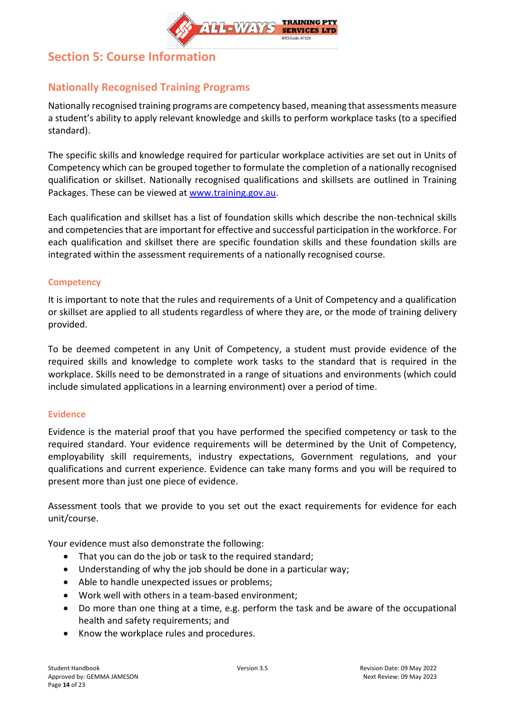

## <span id="page-13-0"></span>**Section 5: Course Information**

## <span id="page-13-1"></span>**Nationally Recognised Training Programs**

Nationally recognised training programs are competency based, meaning that assessments measure a student's ability to apply relevant knowledge and skills to perform workplace tasks (to a specified standard).

The specific skills and knowledge required for particular workplace activities are set out in Units of Competency which can be grouped together to formulate the completion of a nationally recognised qualification or skillset. Nationally recognised qualifications and skillsets are outlined in Training Packages. These can be viewed at [www.training.gov.au.](http://www.training.gov.au/)

Each qualification and skillset has a list of foundation skills which describe the non-technical skills and competencies that are important for effective and successful participation in the workforce. For each qualification and skillset there are specific foundation skills and these foundation skills are integrated within the assessment requirements of a nationally recognised course.

### <span id="page-13-2"></span>**Competency**

It is important to note that the rules and requirements of a Unit of Competency and a qualification or skillset are applied to all students regardless of where they are, or the mode of training delivery provided.

To be deemed competent in any Unit of Competency, a student must provide evidence of the required skills and knowledge to complete work tasks to the standard that is required in the workplace. Skills need to be demonstrated in a range of situations and environments (which could include simulated applications in a learning environment) over a period of time.

#### <span id="page-13-3"></span>**Evidence**

Evidence is the material proof that you have performed the specified competency or task to the required standard. Your evidence requirements will be determined by the Unit of Competency, employability skill requirements, industry expectations, Government regulations, and your qualifications and current experience. Evidence can take many forms and you will be required to present more than just one piece of evidence.

Assessment tools that we provide to you set out the exact requirements for evidence for each unit/course.

Your evidence must also demonstrate the following:

- That you can do the job or task to the required standard;
- Understanding of why the job should be done in a particular way;
- Able to handle unexpected issues or problems;
- Work well with others in a team-based environment;
- Do more than one thing at a time, e.g. perform the task and be aware of the occupational health and safety requirements; and
- Know the workplace rules and procedures.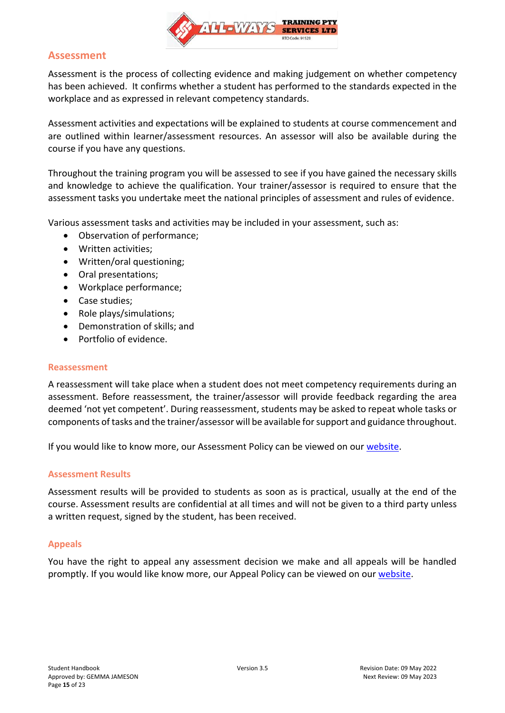

### <span id="page-14-0"></span>**Assessment**

Assessment is the process of collecting evidence and making judgement on whether competency has been achieved. It confirms whether a student has performed to the standards expected in the workplace and as expressed in relevant competency standards.

Assessment activities and expectations will be explained to students at course commencement and are outlined within learner/assessment resources. An assessor will also be available during the course if you have any questions.

Throughout the training program you will be assessed to see if you have gained the necessary skills and knowledge to achieve the qualification. Your trainer/assessor is required to ensure that the assessment tasks you undertake meet the national principles of assessment and rules of evidence.

Various assessment tasks and activities may be included in your assessment, such as:

- Observation of performance;
- Written activities;
- Written/oral questioning;
- Oral presentations;
- Workplace performance;
- Case studies;
- Role plays/simulations;
- Demonstration of skills; and
- Portfolio of evidence.

#### <span id="page-14-1"></span>**Reassessment**

A reassessment will take place when a student does not meet competency requirements during an assessment. Before reassessment, the trainer/assessor will provide feedback regarding the area deemed 'not yet competent'. During reassessment, students may be asked to repeat whole tasks or components of tasks and the trainer/assessor will be available for support and guidance throughout.

<span id="page-14-2"></span>If you would like to know more, our Assessment Policy can be viewed on our [website.](https://www.all-waystraining.com.au/student-info/)

#### **Assessment Results**

Assessment results will be provided to students as soon as is practical, usually at the end of the course. Assessment results are confidential at all times and will not be given to a third party unless a written request, signed by the student, has been received.

#### <span id="page-14-3"></span>**Appeals**

You have the right to appeal any assessment decision we make and all appeals will be handled promptly. If you would like know more, our Appeal Policy can be viewed on our [website.](https://www.all-waystraining.com.au/student-info/)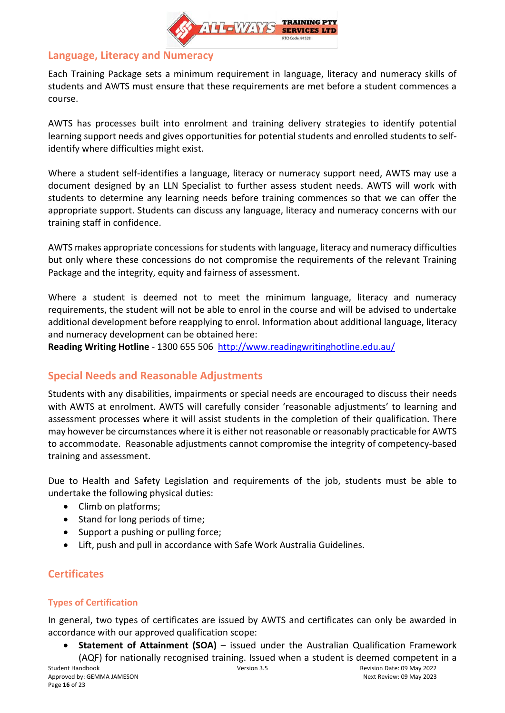

### <span id="page-15-0"></span>**Language, Literacy and Numeracy**

Each Training Package sets a minimum requirement in language, literacy and numeracy skills of students and AWTS must ensure that these requirements are met before a student commences a course.

AWTS has processes built into enrolment and training delivery strategies to identify potential learning support needs and gives opportunities for potential students and enrolled students to selfidentify where difficulties might exist.

Where a student self-identifies a language, literacy or numeracy support need, AWTS may use a document designed by an LLN Specialist to further assess student needs. AWTS will work with students to determine any learning needs before training commences so that we can offer the appropriate support. Students can discuss any language, literacy and numeracy concerns with our training staff in confidence.

AWTS makes appropriate concessions for students with language, literacy and numeracy difficulties but only where these concessions do not compromise the requirements of the relevant Training Package and the integrity, equity and fairness of assessment.

Where a student is deemed not to meet the minimum language, literacy and numeracy requirements, the student will not be able to enrol in the course and will be advised to undertake additional development before reapplying to enrol. Information about additional language, literacy and numeracy development can be obtained here:

<span id="page-15-1"></span>**Reading Writing Hotline** - 1300 655 506 <http://www.readingwritinghotline.edu.au/>

### **Special Needs and Reasonable Adjustments**

Students with any disabilities, impairments or special needs are encouraged to discuss their needs with AWTS at enrolment. AWTS will carefully consider 'reasonable adjustments' to learning and assessment processes where it will assist students in the completion of their qualification. There may however be circumstances where it is either not reasonable or reasonably practicable for AWTS to accommodate. Reasonable adjustments cannot compromise the integrity of competency-based training and assessment.

Due to Health and Safety Legislation and requirements of the job, students must be able to undertake the following physical duties:

- Climb on platforms;
- Stand for long periods of time;
- Support a pushing or pulling force;
- Lift, push and pull in accordance with Safe Work Australia Guidelines.

## <span id="page-15-2"></span>**Certificates**

### <span id="page-15-3"></span>**Types of Certification**

In general, two types of certificates are issued by AWTS and certificates can only be awarded in accordance with our approved qualification scope:

• **Statement of Attainment (SOA)** – issued under the Australian Qualification Framework (AQF) for nationally recognised training. Issued when a student is deemed competent in a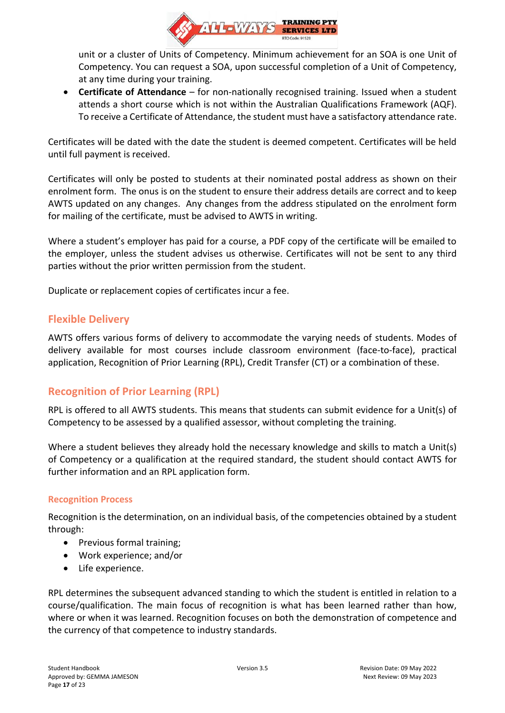

unit or a cluster of Units of Competency. Minimum achievement for an SOA is one Unit of Competency. You can request a SOA, upon successful completion of a Unit of Competency, at any time during your training.

• **Certificate of Attendance** – for non-nationally recognised training. Issued when a student attends a short course which is not within the Australian Qualifications Framework (AQF). To receive a Certificate of Attendance, the student must have a satisfactory attendance rate.

Certificates will be dated with the date the student is deemed competent. Certificates will be held until full payment is received.

Certificates will only be posted to students at their nominated postal address as shown on their enrolment form. The onus is on the student to ensure their address details are correct and to keep AWTS updated on any changes. Any changes from the address stipulated on the enrolment form for mailing of the certificate, must be advised to AWTS in writing.

Where a student's employer has paid for a course, a PDF copy of the certificate will be emailed to the employer, unless the student advises us otherwise. Certificates will not be sent to any third parties without the prior written permission from the student.

<span id="page-16-0"></span>Duplicate or replacement copies of certificates incur a fee.

### **Flexible Delivery**

AWTS offers various forms of delivery to accommodate the varying needs of students. Modes of delivery available for most courses include classroom environment (face-to-face), practical application, Recognition of Prior Learning (RPL), Credit Transfer (CT) or a combination of these.

### <span id="page-16-1"></span>**Recognition of Prior Learning (RPL)**

RPL is offered to all AWTS students. This means that students can submit evidence for a Unit(s) of Competency to be assessed by a qualified assessor, without completing the training.

Where a student believes they already hold the necessary knowledge and skills to match a Unit(s) of Competency or a qualification at the required standard, the student should contact AWTS for further information and an RPL application form.

#### <span id="page-16-2"></span>**Recognition Process**

Recognition is the determination, on an individual basis, of the competencies obtained by a student through:

- Previous formal training;
- Work experience; and/or
- Life experience.

RPL determines the subsequent advanced standing to which the student is entitled in relation to a course/qualification. The main focus of recognition is what has been learned rather than how, where or when it was learned. Recognition focuses on both the demonstration of competence and the currency of that competence to industry standards.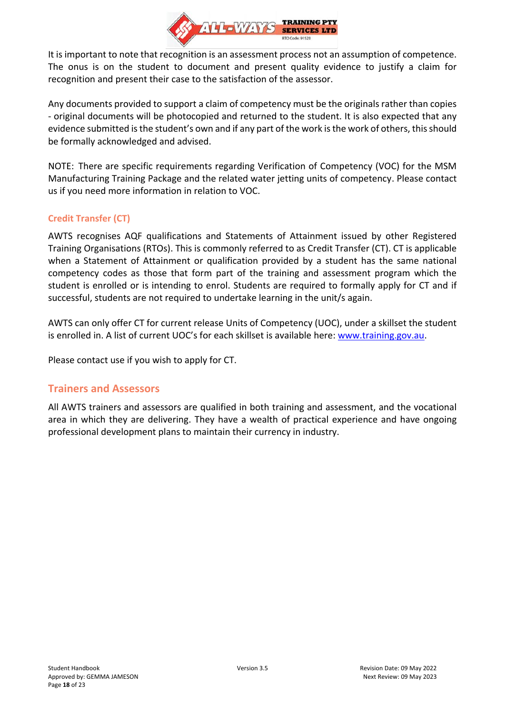

It is important to note that recognition is an assessment process not an assumption of competence. The onus is on the student to document and present quality evidence to justify a claim for recognition and present their case to the satisfaction of the assessor.

Any documents provided to support a claim of competency must be the originals rather than copies - original documents will be photocopied and returned to the student. It is also expected that any evidence submitted is the student's own and if any part of the work is the work of others, this should be formally acknowledged and advised.

NOTE: There are specific requirements regarding Verification of Competency (VOC) for the MSM Manufacturing Training Package and the related water jetting units of competency. Please contact us if you need more information in relation to VOC.

### <span id="page-17-0"></span>**Credit Transfer (CT)**

AWTS recognises AQF qualifications and Statements of Attainment issued by other Registered Training Organisations (RTOs). This is commonly referred to as Credit Transfer (CT). CT is applicable when a Statement of Attainment or qualification provided by a student has the same national competency codes as those that form part of the training and assessment program which the student is enrolled or is intending to enrol. Students are required to formally apply for CT and if successful, students are not required to undertake learning in the unit/s again.

AWTS can only offer CT for current release Units of Competency (UOC), under a skillset the student is enrolled in. A list of current UOC's for each skillset is available here: [www.training.gov.au.](http://www.training.gov.au/)

<span id="page-17-1"></span>Please contact use if you wish to apply for CT.

### **Trainers and Assessors**

All AWTS trainers and assessors are qualified in both training and assessment, and the vocational area in which they are delivering. They have a wealth of practical experience and have ongoing professional development plans to maintain their currency in industry.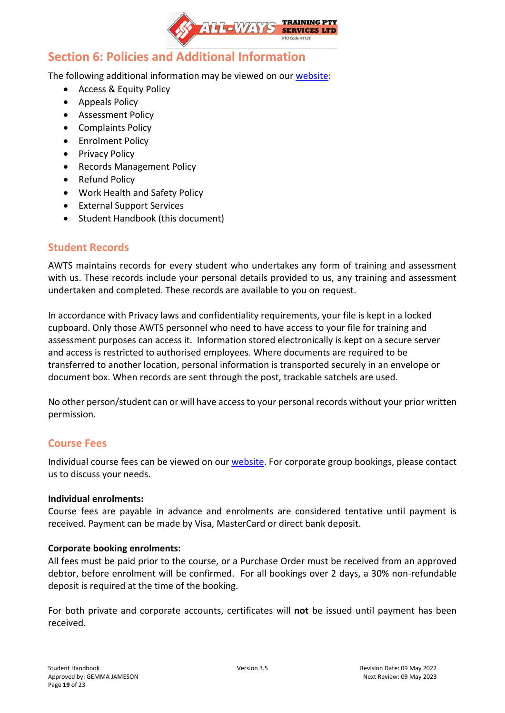

## <span id="page-18-0"></span>**Section 6: Policies and Additional Information**

The following additional information may be viewed on our [website:](https://www.all-waystraining.com.au/student-info/)

- Access & Equity Policy
- Appeals Policy
- Assessment Policy
- Complaints Policy
- Enrolment Policy
- Privacy Policy
- Records Management Policy
- Refund Policy
- Work Health and Safety Policy
- External Support Services
- Student Handbook (this document)

### <span id="page-18-1"></span>**Student Records**

AWTS maintains records for every student who undertakes any form of training and assessment with us. These records include your personal details provided to us, any training and assessment undertaken and completed. These records are available to you on request.

In accordance with Privacy laws and confidentiality requirements, your file is kept in a locked cupboard. Only those AWTS personnel who need to have access to your file for training and assessment purposes can access it. Information stored electronically is kept on a secure server and access is restricted to authorised employees. Where documents are required to be transferred to another location, personal information is transported securely in an envelope or document box. When records are sent through the post, trackable satchels are used.

No other person/student can or will have access to your personal records without your prior written permission.

### <span id="page-18-2"></span>**Course Fees**

Individual course fees can be viewed on our [website.](https://www.all-waystraining.com.au/calendar/) For corporate group bookings, please contact us to discuss your needs.

#### **Individual enrolments:**

Course fees are payable in advance and enrolments are considered tentative until payment is received. Payment can be made by Visa, MasterCard or direct bank deposit.

#### **Corporate booking enrolments:**

All fees must be paid prior to the course, or a Purchase Order must be received from an approved debtor, before enrolment will be confirmed. For all bookings over 2 days, a 30% non-refundable deposit is required at the time of the booking.

For both private and corporate accounts, certificates will **not** be issued until payment has been received.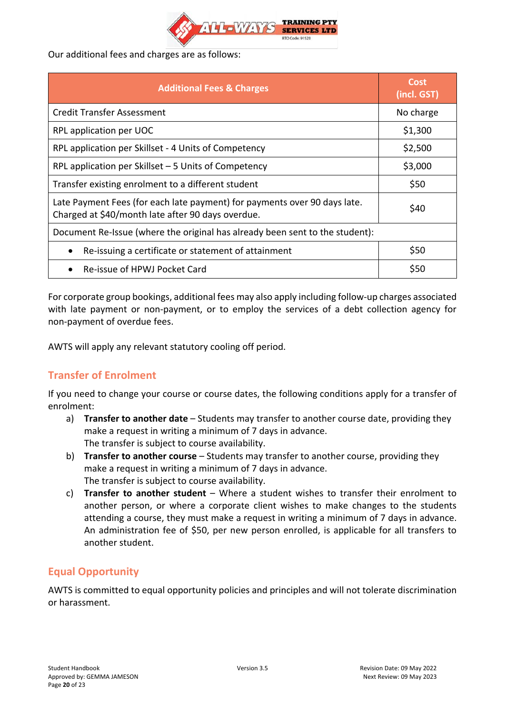

Our additional fees and charges are as follows:

| <b>Additional Fees &amp; Charges</b>                                                                                           | Cost<br>(incl. GST) |  |
|--------------------------------------------------------------------------------------------------------------------------------|---------------------|--|
| <b>Credit Transfer Assessment</b>                                                                                              | No charge           |  |
| RPL application per UOC                                                                                                        | \$1,300             |  |
| RPL application per Skillset - 4 Units of Competency                                                                           | \$2,500             |  |
| RPL application per Skillset - 5 Units of Competency                                                                           | \$3,000             |  |
| Transfer existing enrolment to a different student                                                                             | \$50                |  |
| Late Payment Fees (for each late payment) for payments over 90 days late.<br>Charged at \$40/month late after 90 days overdue. | \$40                |  |
| Document Re-Issue (where the original has already been sent to the student):                                                   |                     |  |
| Re-issuing a certificate or statement of attainment                                                                            | \$50                |  |
| Re-issue of HPWJ Pocket Card                                                                                                   | \$50                |  |

For corporate group bookings, additional fees may also apply including follow-up charges associated with late payment or non-payment, or to employ the services of a debt collection agency for non-payment of overdue fees.

<span id="page-19-0"></span>AWTS will apply any relevant statutory cooling off period.

## **Transfer of Enrolment**

If you need to change your course or course dates, the following conditions apply for a transfer of enrolment:

- a) **Transfer to another date** Students may transfer to another course date, providing they make a request in writing a minimum of 7 days in advance. The transfer is subject to course availability.
- b) **Transfer to another course** Students may transfer to another course, providing they make a request in writing a minimum of 7 days in advance. The transfer is subject to course availability.
- c) **Transfer to another student** Where a student wishes to transfer their enrolment to another person, or where a corporate client wishes to make changes to the students attending a course, they must make a request in writing a minimum of 7 days in advance. An administration fee of \$50, per new person enrolled, is applicable for all transfers to another student.

### <span id="page-19-1"></span>**Equal Opportunity**

AWTS is committed to equal opportunity policies and principles and will not tolerate discrimination or harassment.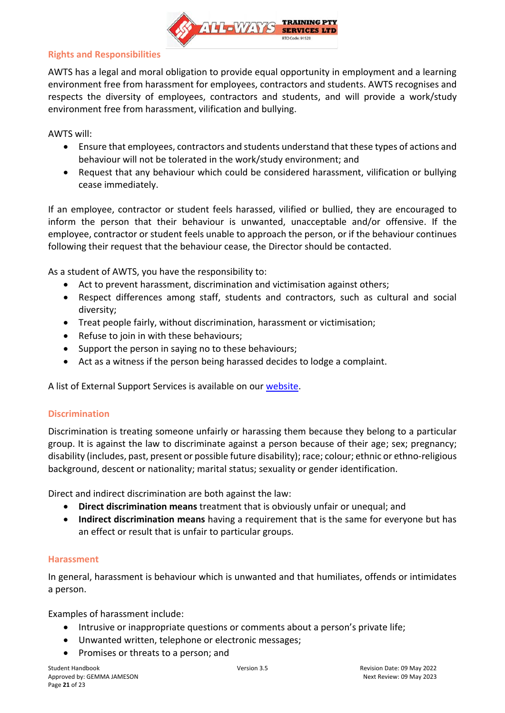

#### <span id="page-20-0"></span>**Rights and Responsibilities**

AWTS has a legal and moral obligation to provide equal opportunity in employment and a learning environment free from harassment for employees, contractors and students. AWTS recognises and respects the diversity of employees, contractors and students, and will provide a work/study environment free from harassment, vilification and bullying.

AWTS will:

- Ensure that employees, contractors and students understand that these types of actions and behaviour will not be tolerated in the work/study environment; and
- Request that any behaviour which could be considered harassment, vilification or bullying cease immediately.

If an employee, contractor or student feels harassed, vilified or bullied, they are encouraged to inform the person that their behaviour is unwanted, unacceptable and/or offensive. If the employee, contractor or student feels unable to approach the person, or if the behaviour continues following their request that the behaviour cease, the Director should be contacted.

As a student of AWTS, you have the responsibility to:

- Act to prevent harassment, discrimination and victimisation against others;
- Respect differences among staff, students and contractors, such as cultural and social diversity;
- Treat people fairly, without discrimination, harassment or victimisation;
- Refuse to join in with these behaviours;
- Support the person in saying no to these behaviours;
- Act as a witness if the person being harassed decides to lodge a complaint.

<span id="page-20-1"></span>A list of External Support Services is available on our [website.](https://www.all-waystraining.com.au/student-info/)

#### **Discrimination**

Discrimination is treating someone unfairly or harassing them because they belong to a particular group. It is against the law to discriminate against a person because of their age; sex; pregnancy; disability (includes, past, present or possible future disability); race; colour; ethnic or ethno-religious background, descent or nationality; marital status; sexuality or gender identification.

Direct and indirect discrimination are both against the law:

- **Direct discrimination means** treatment that is obviously unfair or unequal; and
- **Indirect discrimination means** having a requirement that is the same for everyone but has an effect or result that is unfair to particular groups.

#### <span id="page-20-2"></span>**Harassment**

In general, harassment is behaviour which is unwanted and that humiliates, offends or intimidates a person.

Examples of harassment include:

- Intrusive or inappropriate questions or comments about a person's private life;
- Unwanted written, telephone or electronic messages;
- Promises or threats to a person; and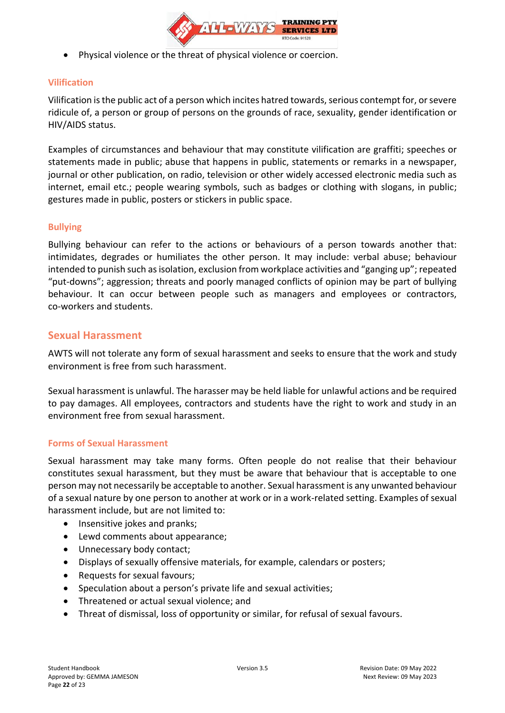

• Physical violence or the threat of physical violence or coercion.

### <span id="page-21-0"></span>**Vilification**

Vilification is the public act of a person which incites hatred towards, serious contempt for, or severe ridicule of, a person or group of persons on the grounds of race, sexuality, gender identification or HIV/AIDS status.

Examples of circumstances and behaviour that may constitute vilification are graffiti; speeches or statements made in public; abuse that happens in public, statements or remarks in a newspaper, journal or other publication, on radio, television or other widely accessed electronic media such as internet, email etc.; people wearing symbols, such as badges or clothing with slogans, in public; gestures made in public, posters or stickers in public space.

### <span id="page-21-1"></span>**Bullying**

Bullying behaviour can refer to the actions or behaviours of a person towards another that: intimidates, degrades or humiliates the other person. It may include: verbal abuse; behaviour intended to punish such as isolation, exclusion from workplace activities and "ganging up"; repeated "put-downs"; aggression; threats and poorly managed conflicts of opinion may be part of bullying behaviour. It can occur between people such as managers and employees or contractors, co-workers and students.

### <span id="page-21-2"></span>**Sexual Harassment**

AWTS will not tolerate any form of sexual harassment and seeks to ensure that the work and study environment is free from such harassment.

Sexual harassment is unlawful. The harasser may be held liable for unlawful actions and be required to pay damages. All employees, contractors and students have the right to work and study in an environment free from sexual harassment.

#### <span id="page-21-3"></span>**Forms of Sexual Harassment**

Sexual harassment may take many forms. Often people do not realise that their behaviour constitutes sexual harassment, but they must be aware that behaviour that is acceptable to one person may not necessarily be acceptable to another. Sexual harassment is any unwanted behaviour of a sexual nature by one person to another at work or in a work-related setting. Examples of sexual harassment include, but are not limited to:

- Insensitive jokes and pranks;
- Lewd comments about appearance;
- Unnecessary body contact;
- Displays of sexually offensive materials, for example, calendars or posters;
- Requests for sexual favours;
- Speculation about a person's private life and sexual activities;
- Threatened or actual sexual violence; and
- Threat of dismissal, loss of opportunity or similar, for refusal of sexual favours.